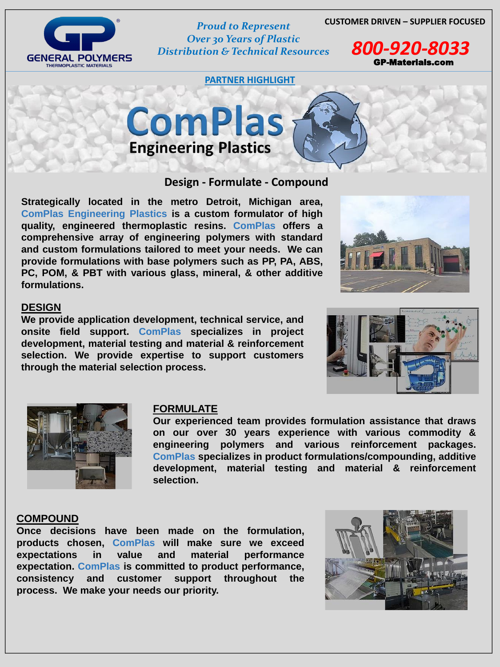



*Over 30 Years of Plastic Distribution & Technical Resources 800-920-8033*

**PARTNER HIGHLIGHT**



GP-Materials.com

## **Design - Formulate - Compound**

**Strategically located in the metro Detroit, Michigan area, ComPlas Engineering Plastics is a custom formulator of high quality, engineered thermoplastic resins. ComPlas offers a comprehensive array of engineering polymers with standard and custom formulations tailored to meet your needs. We can provide formulations with base polymers such as PP, PA, ABS, PC, POM, & PBT with various glass, mineral, & other additive formulations.**



### **DESIGN**

**We provide application development, technical service, and onsite field support. ComPlas specializes in project development, material testing and material & reinforcement selection. We provide expertise to support customers through the material selection process.**





#### **FORMULATE**

**Our experienced team provides formulation assistance that draws on our over 30 years experience with various commodity & engineering polymers and various reinforcement packages. ComPlas specializes in product formulations/compounding, additive development, material testing and material & reinforcement selection.**

#### **COMPOUND**

**Once decisions have been made on the formulation, products chosen, ComPlas will make sure we exceed expectations in value and material performance expectation. ComPlas is committed to product performance, consistency and customer support throughout the process. We make your needs our priority.**